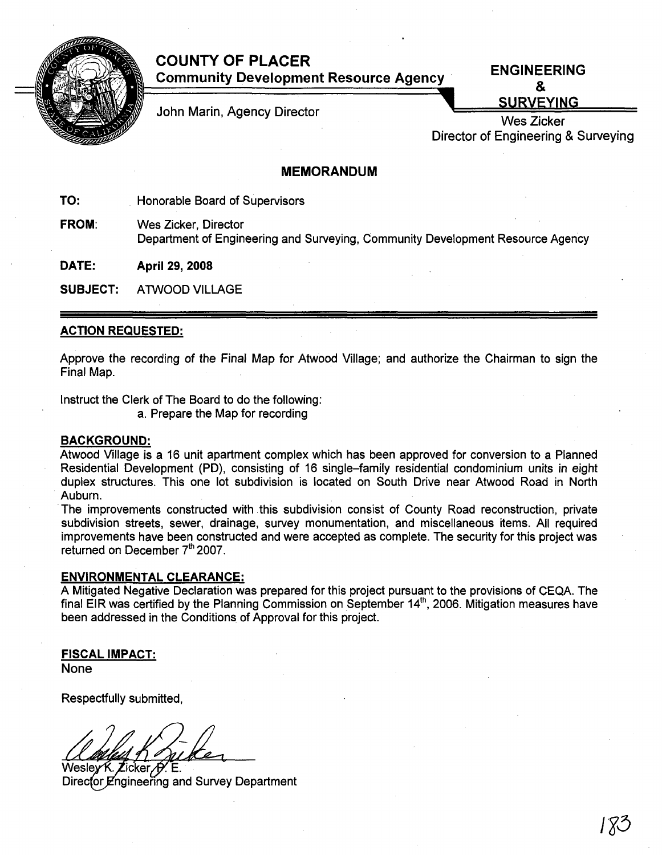

# COUNTY OF PLACER Community Development Resource Agency .

ENGINEERING & **SURVEYING** 

John Marin, Agency Director

Wes Zicker Director of Engineering & Surveying

# MEMORANDUM

TO: Honorable Board of Supervisors

FROM: Wes Zicker, Director Department of Engineering and Surveying, Community Development Resource Agency

DATE: April 29, 2008

SUBJECT: ATWOOD VILLAGE

## ACTION REQUESTED:

Approve the recording of the Final Map for Atwood Village; and authorize the Chairman to sign the Final Map.

Instruct the Clerk of The Board to do the following:

a. Prepare the Map for recording

### BACKGROUND:

Atwood Village is a 16 unit apartment complex which has been approved for conversion to a Planned Residential Development (PD), consisting of 16 single-family residential condominium units in eight duplex structures. This one lot subdivision is located on South Drive near Atwood Road in North Auburn.

.The improvements constructed with this subdivision consist of County Road reconstruction, private subdivision streets, sewer, drainage, survey monumentation, and miscellaneous items. All required improvements have been constructed and were accepted as complete. The security for this project was returned on December 7<sup>th</sup> 2007.

### ENVIRONMENTAL CLEARANCE:

A Mitigated Negative Declaration was prepared for this project pursuant to the provisions of CEQA. The final EIR was certified by the Planning Commission on September 14<sup>th</sup>, 2006. Mitigation measures have been addressed in the Conditions of Approval for this project.

FISCAL IMPACT:

None

Respectfully submitted,

Wesley K. Zicker 6 Director Engineering and Survey Department